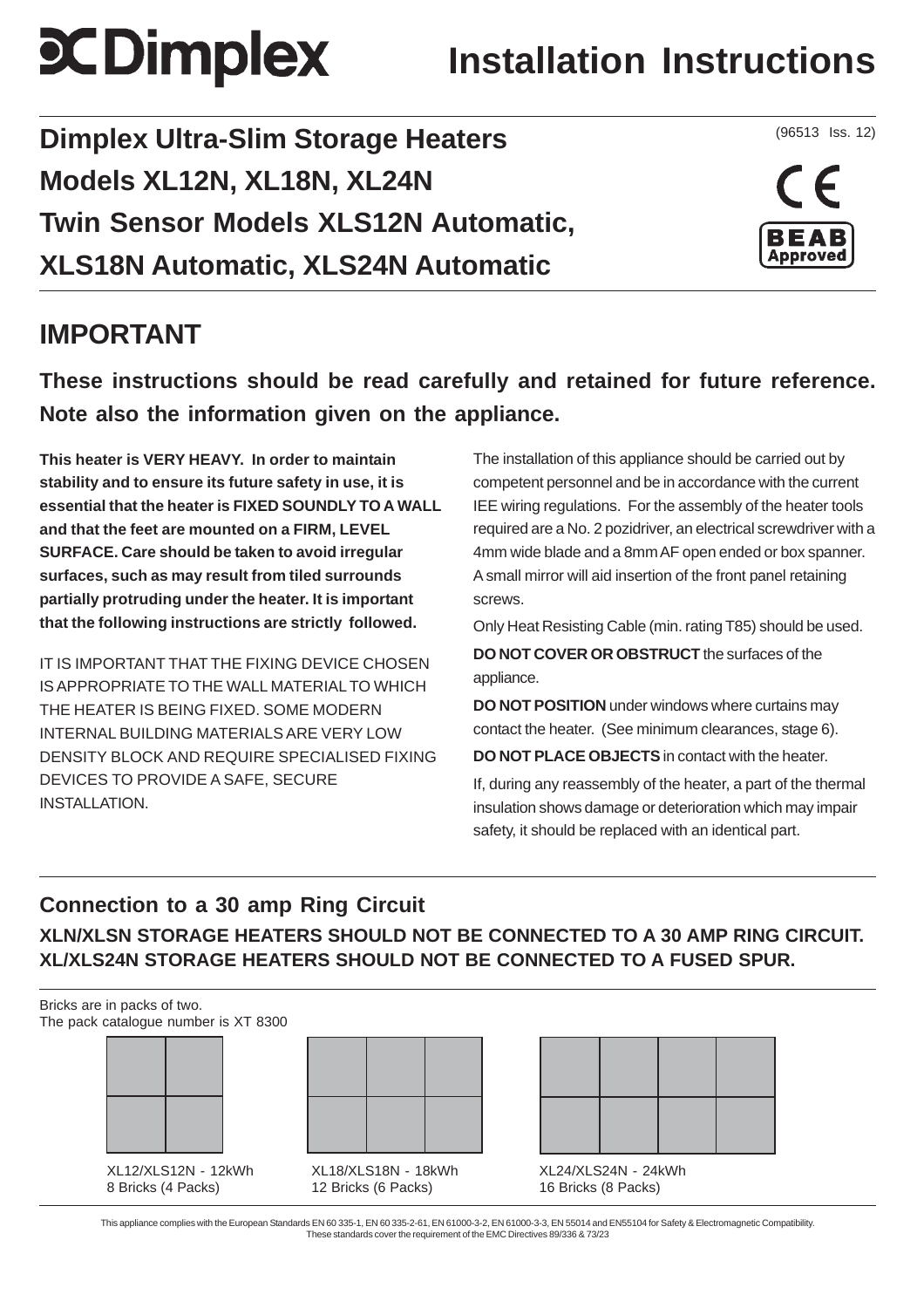# **SCDimplex**

# **Installation Instructions**

**Dimplex Ultra-Slim Storage Heaters Models XL12N, XL18N, XL24N Twin Sensor Models XLS12N Automatic, XLS18N Automatic, XLS24N Automatic**

### **IMPORTANT**

**These instructions should be read carefully and retained for future reference. Note also the information given on the appliance.**

**This heater is VERY HEAVY. In order to maintain stability and to ensure its future safety in use, it is essential that the heater is FIXED SOUNDLY TO A WALL and that the feet are mounted on a FIRM, LEVEL SURFACE. Care should be taken to avoid irregular surfaces, such as may result from tiled surrounds partially protruding under the heater. It is important that the following instructions are strictly followed.**

IT IS IMPORTANT THAT THE FIXING DEVICE CHOSEN IS APPROPRIATE TO THE WALL MATERIAL TO WHICH THE HEATER IS BEING FIXED. SOME MODERN INTERNAL BUILDING MATERIALS ARE VERY LOW DENSITY BLOCK AND REQUIRE SPECIALISED FIXING DEVICES TO PROVIDE A SAFE, SECURE INSTALLATION.

The installation of this appliance should be carried out by competent personnel and be in accordance with the current IEE wiring regulations. For the assembly of the heater tools required are a No. 2 pozidriver, an electrical screwdriver with a 4mm wide blade and a 8mm AF open ended or box spanner. A small mirror will aid insertion of the front panel retaining screws.

Only Heat Resisting Cable (min. rating T85) should be used.

**DO NOT COVER OR OBSTRUCT** the surfaces of the appliance.

**DO NOT POSITION** under windows where curtains may contact the heater. (See minimum clearances, stage 6).

**DO NOT PLACE OBJECTS** in contact with the heater.

If, during any reassembly of the heater, a part of the thermal insulation shows damage or deterioration which may impair safety, it should be replaced with an identical part.

#### **Connection to a 30 amp Ring Circuit XLN/XLSN STORAGE HEATERS SHOULD NOT BE CONNECTED TO A 30 AMP RING CIRCUIT. XL/XLS24N STORAGE HEATERS SHOULD NOT BE CONNECTED TO A FUSED SPUR.**

Bricks are in packs of two. The pack catalogue number is XT 8300



XL12/XLS12N - 12kWh 8 Bricks (4 Packs)



XL18/XLS18N - 18kWh 12 Bricks (6 Packs)

XL24/XLS24N - 24kWh 16 Bricks (8 Packs)

This appliance complies with the European Standards EN 60 335-1, EN 60 335-2-61, EN 61000-3-2, EN 61000-3-3, EN 55014 and EN55104 for Safety & Electromagnetic Compatibility. These standards cover the requirement of the EMC Directives 89/336 & 73/23

(96513 Iss. 12)

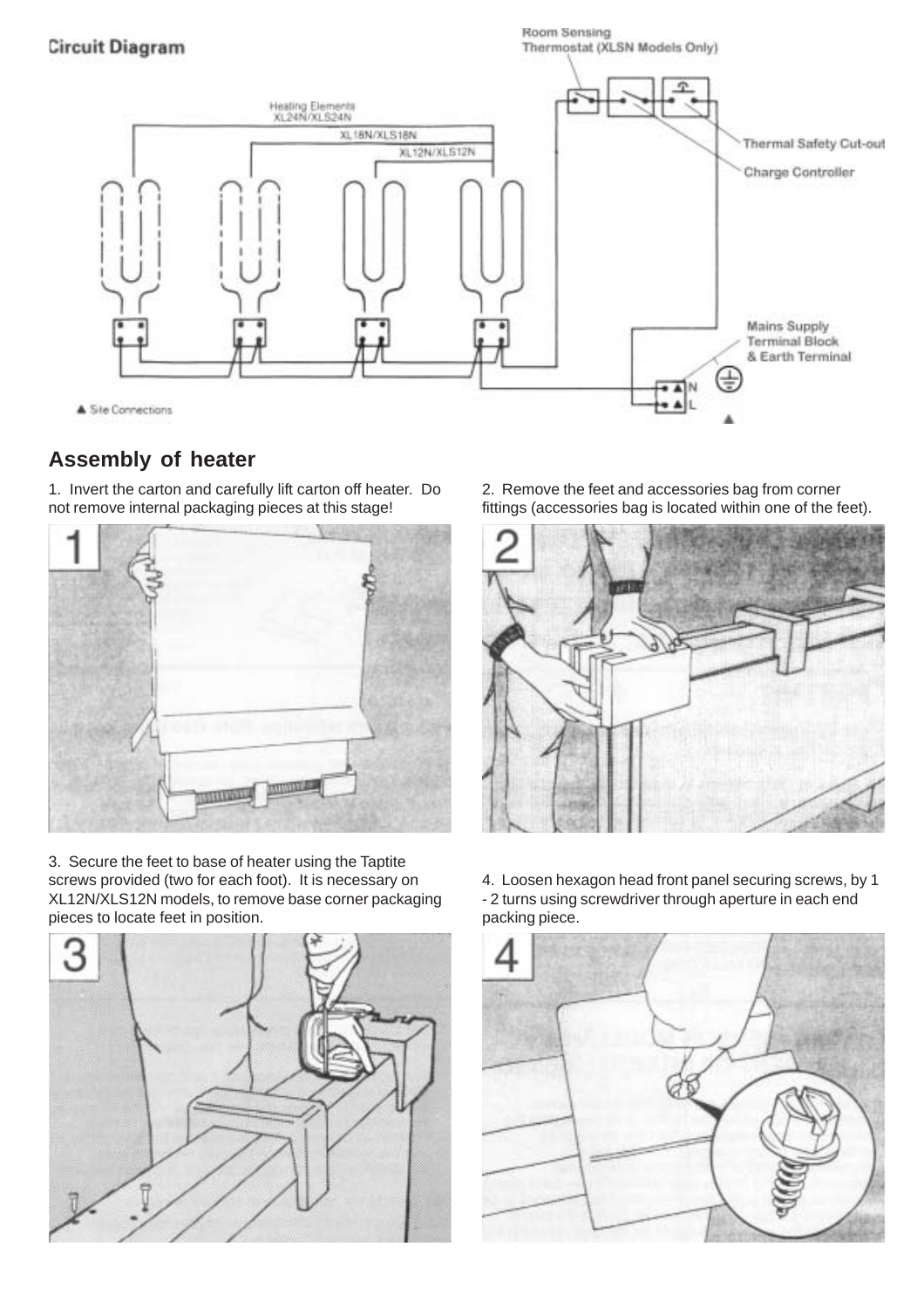#### **Circuit Diagram**

Room Sensing Thermostat (XLSN Models Only)



#### **Assembly of heater**

1. Invert the carton and carefully lift carton off heater. Do not remove internal packaging pieces at this stage!



3. Secure the feet to base of heater using the Taptite screws provided (two for each foot). It is necessary on XL12N/XLS12N models, to remove base corner packaging pieces to locate feet in position.



2. Remove the feet and accessories bag from corner fittings (accessories bag is located within one of the feet).



4. Loosen hexagon head front panel securing screws, by 1 - 2 turns using screwdriver through aperture in each end packing piece.

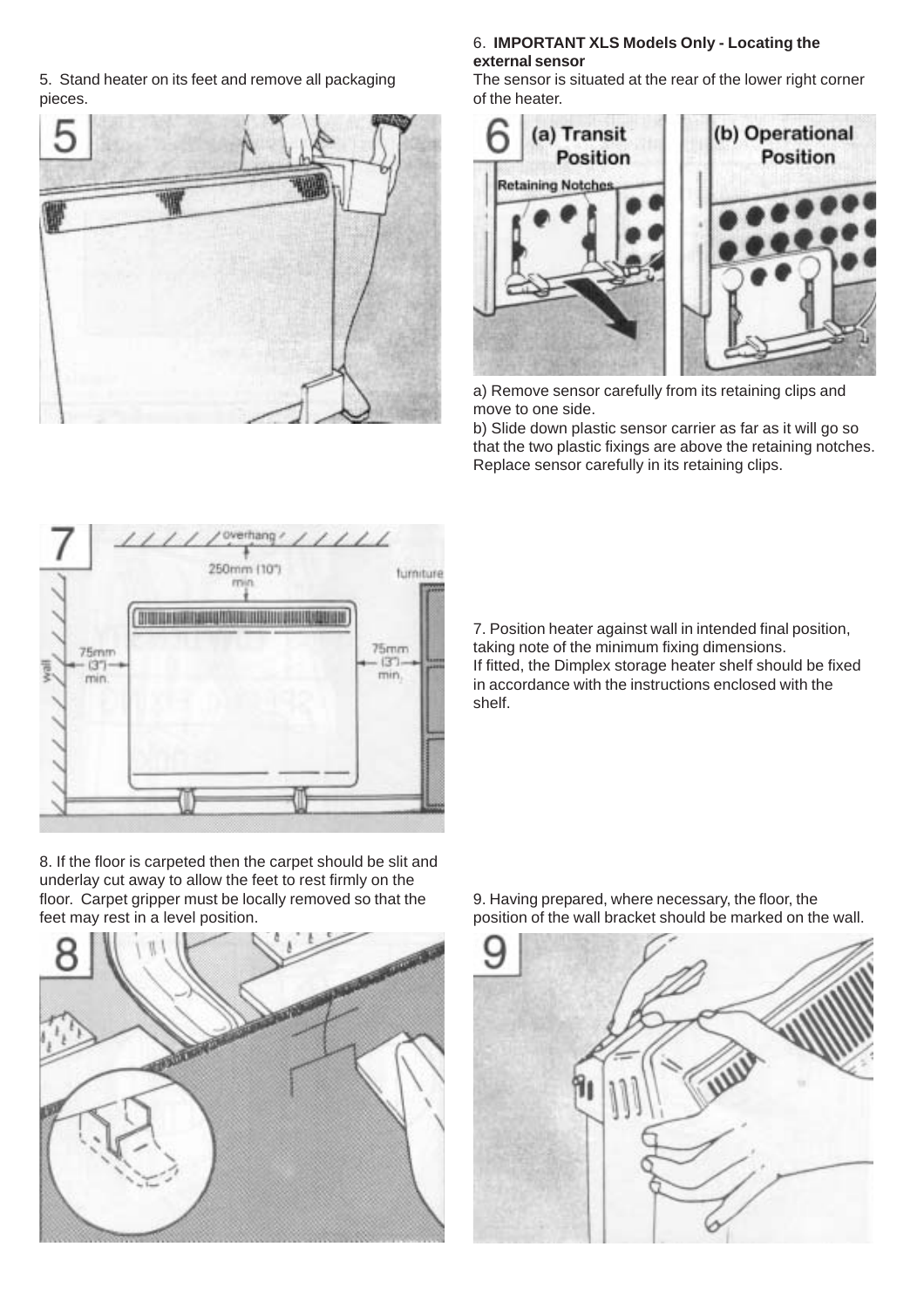5. Stand heater on its feet and remove all packaging pieces.



#### 6. **IMPORTANT XLS Models Only - Locating the external sensor**

The sensor is situated at the rear of the lower right corner of the heater.



a) Remove sensor carefully from its retaining clips and move to one side.

b) Slide down plastic sensor carrier as far as it will go so that the two plastic fixings are above the retaining notches. Replace sensor carefully in its retaining clips.



8. If the floor is carpeted then the carpet should be slit and underlay cut away to allow the feet to rest firmly on the floor. Carpet gripper must be locally removed so that the feet may rest in a level position.



7. Position heater against wall in intended final position, taking note of the minimum fixing dimensions. If fitted, the Dimplex storage heater shelf should be fixed in accordance with the instructions enclosed with the shelf.



9. Having prepared, where necessary, the floor, the position of the wall bracket should be marked on the wall.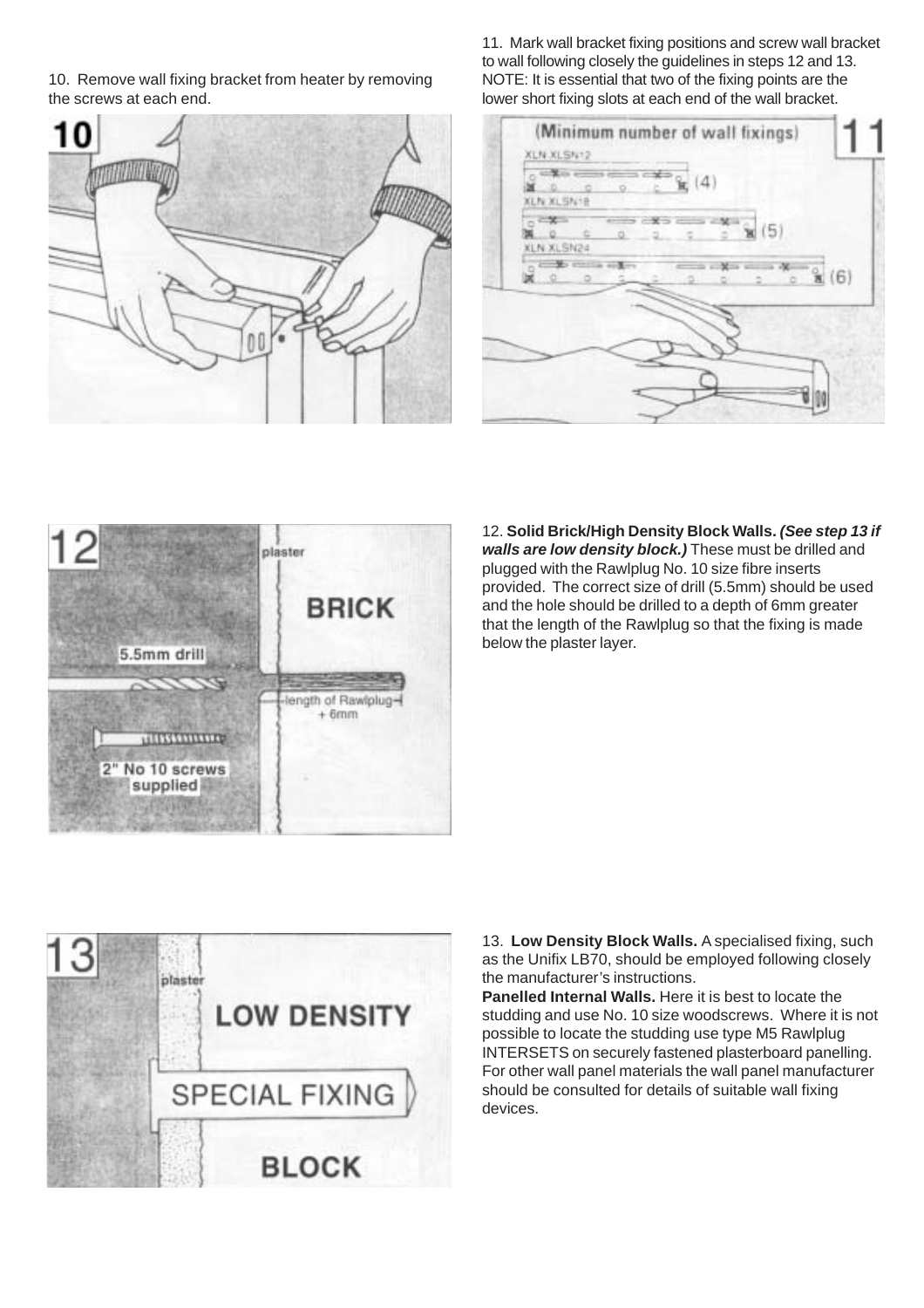10. Remove wall fixing bracket from heater by removing the screws at each end.



11. Mark wall bracket fixing positions and screw wall bracket to wall following closely the guidelines in steps 12 and 13. NOTE: It is essential that two of the fixing points are the lower short fixing slots at each end of the wall bracket.

| XLN XLSN 12<br>KLN XLSN1B | k(4) |                       |      |
|---------------------------|------|-----------------------|------|
| <b>XLN XLSN24</b>         |      | $\mathbf{\hat{x}}(5)$ |      |
| ο                         |      |                       | x(6) |
|                           |      |                       |      |
|                           |      |                       |      |

plaster **BRICK** 5.5mm drill length of Rawlplug- $+ 6$ mm ,,,,,,,,,,,,,,, 2" No 10 screws supplied

12. **Solid Brick/High Density Block Walls. (See step 13 if walls are low density block.)** These must be drilled and plugged with the Rawlplug No. 10 size fibre inserts provided. The correct size of drill (5.5mm) should be used and the hole should be drilled to a depth of 6mm greater that the length of the Rawlplug so that the fixing is made below the plaster layer.



13. **Low Density Block Walls.** A specialised fixing, such as the Unifix LB70, should be employed following closely the manufacturer's instructions.

**Panelled Internal Walls.** Here it is best to locate the studding and use No. 10 size woodscrews. Where it is not possible to locate the studding use type M5 Rawlplug INTERSETS on securely fastened plasterboard panelling. For other wall panel materials the wall panel manufacturer should be consulted for details of suitable wall fixing devices.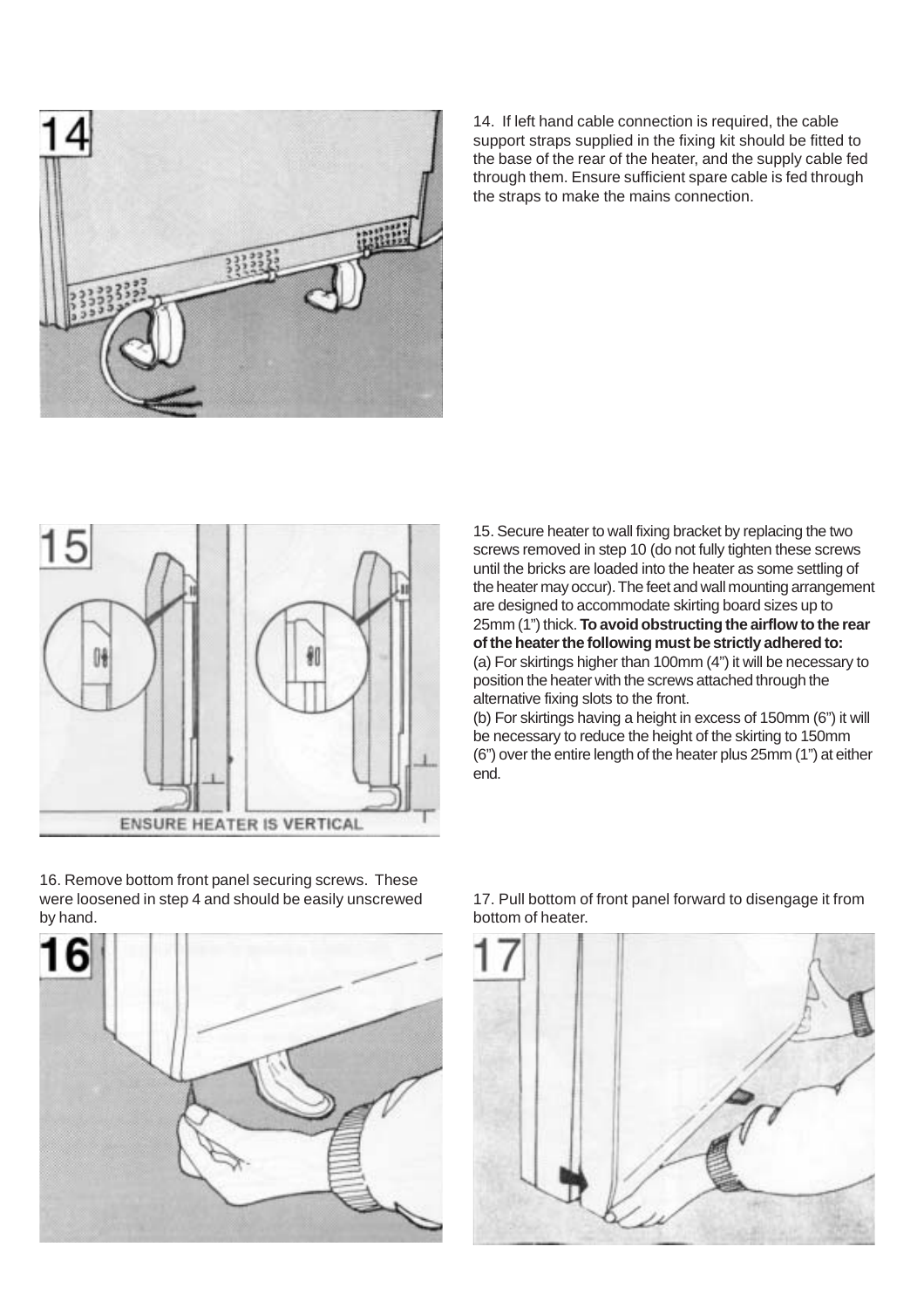

14. If left hand cable connection is required, the cable support straps supplied in the fixing kit should be fitted to the base of the rear of the heater, and the supply cable fed through them. Ensure sufficient spare cable is fed through the straps to make the mains connection.



16. Remove bottom front panel securing screws. These

15. Secure heater to wall fixing bracket by replacing the two screws removed in step 10 (do not fully tighten these screws until the bricks are loaded into the heater as some settling of the heater may occur). The feet and wall mounting arrangement are designed to accommodate skirting board sizes up to 25mm (1") thick. **To avoid obstructing the airflow to the rear of the heater the following must be strictly adhered to:** (a) For skirtings higher than 100mm (4") it will be necessary to position the heater with the screws attached through the alternative fixing slots to the front.

(b) For skirtings having a height in excess of 150mm (6") it will be necessary to reduce the height of the skirting to 150mm (6") over the entire length of the heater plus 25mm (1") at either end.



17. Pull bottom of front panel forward to disengage it from bottom of heater.

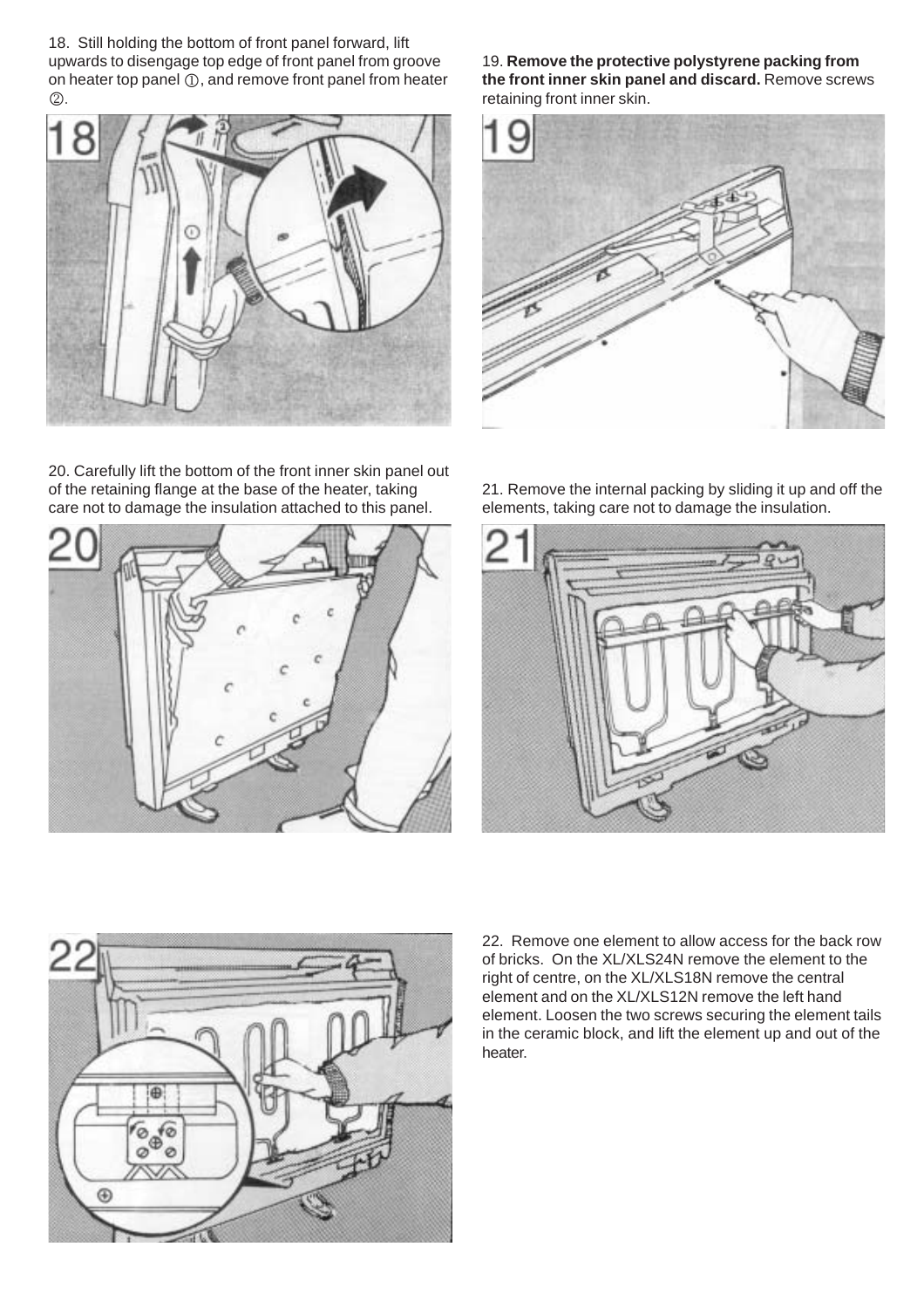18. Still holding the bottom of front panel forward, lift upwards to disengage top edge of front panel from groove on heater top panel  $(1)$ , and remove front panel from heater 2.



19. **Remove the protective polystyrene packing from the front inner skin panel and discard.** Remove screws retaining front inner skin.



20. Carefully lift the bottom of the front inner skin panel out of the retaining flange at the base of the heater, taking care not to damage the insulation attached to this panel.



21. Remove the internal packing by sliding it up and off the elements, taking care not to damage the insulation.





22. Remove one element to allow access for the back row of bricks. On the XL/XLS24N remove the element to the right of centre, on the XL/XLS18N remove the central element and on the XL/XLS12N remove the left hand element. Loosen the two screws securing the element tails in the ceramic block, and lift the element up and out of the heater.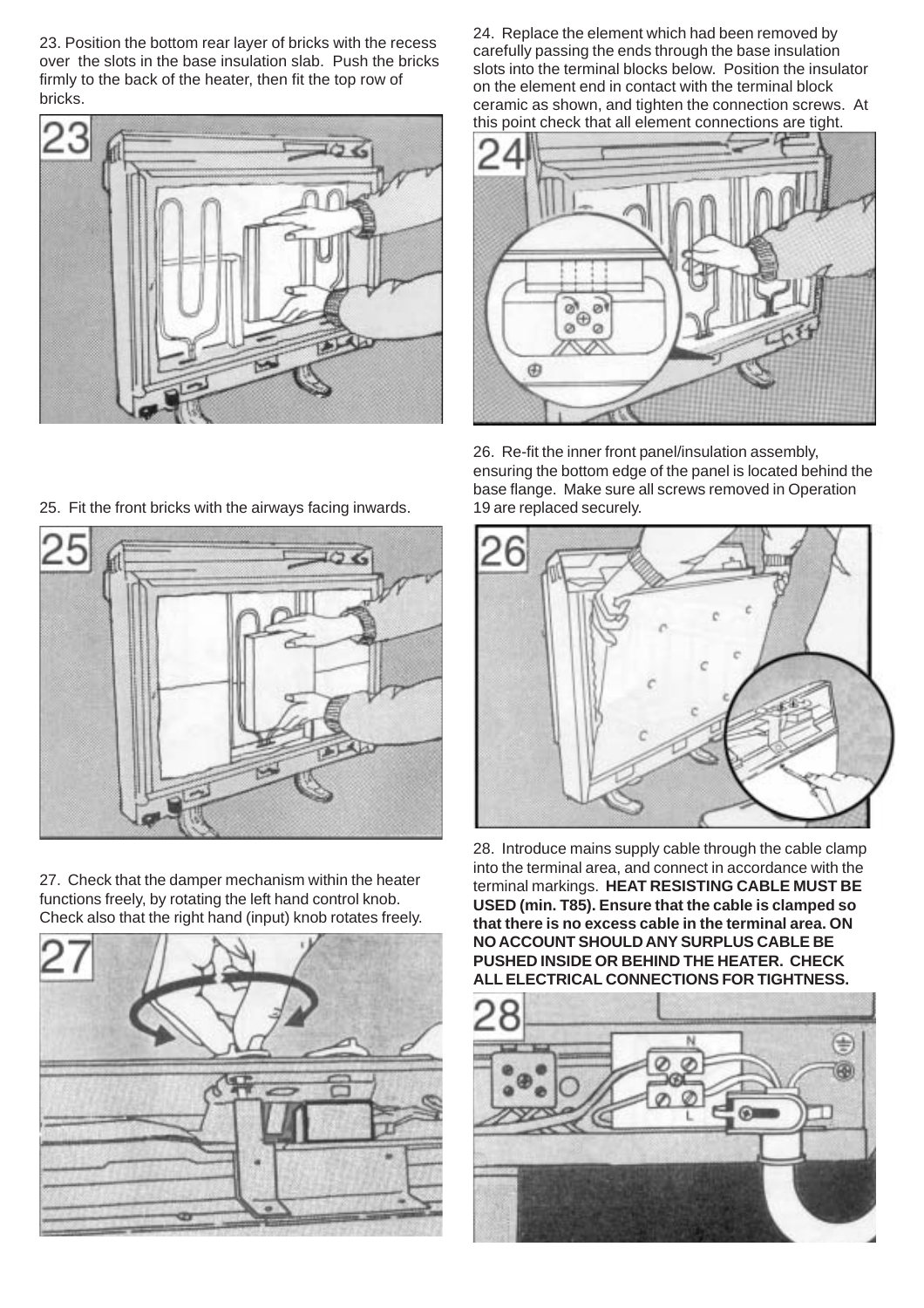23. Position the bottom rear layer of bricks with the recess over the slots in the base insulation slab. Push the bricks firmly to the back of the heater, then fit the top row of bricks.



24. Replace the element which had been removed by carefully passing the ends through the base insulation slots into the terminal blocks below. Position the insulator on the element end in contact with the terminal block ceramic as shown, and tighten the connection screws. At this point check that all element connections are tight.



26. Re-fit the inner front panel/insulation assembly, ensuring the bottom edge of the panel is located behind the base flange. Make sure all screws removed in Operation 19 are replaced securely.



27. Check that the damper mechanism within the heater functions freely, by rotating the left hand control knob. Check also that the right hand (input) knob rotates freely.





28. Introduce mains supply cable through the cable clamp into the terminal area, and connect in accordance with the terminal markings. **HEAT RESISTING CABLE MUST BE USED (min. T85). Ensure that the cable is clamped so that there is no excess cable in the terminal area. ON NO ACCOUNT SHOULD ANY SURPLUS CABLE BE PUSHED INSIDE OR BEHIND THE HEATER. CHECK ALL ELECTRICAL CONNECTIONS FOR TIGHTNESS.**



25. Fit the front bricks with the airways facing inwards.